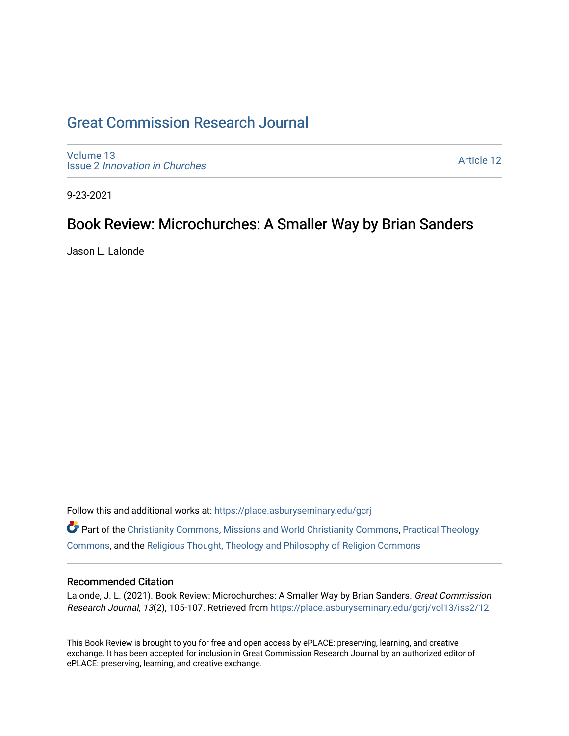## [Great Commission Research Journal](https://place.asburyseminary.edu/gcrj)

[Volume 13](https://place.asburyseminary.edu/gcrj/vol13) Issue 2 [Innovation in Churches](https://place.asburyseminary.edu/gcrj/vol13/iss2)

[Article 12](https://place.asburyseminary.edu/gcrj/vol13/iss2/12) 

9-23-2021

## Book Review: Microchurches: A Smaller Way by Brian Sanders

Jason L. Lalonde

Follow this and additional works at: [https://place.asburyseminary.edu/gcrj](https://place.asburyseminary.edu/gcrj?utm_source=place.asburyseminary.edu%2Fgcrj%2Fvol13%2Fiss2%2F12&utm_medium=PDF&utm_campaign=PDFCoverPages) 

Part of the [Christianity Commons,](http://network.bepress.com/hgg/discipline/1181?utm_source=place.asburyseminary.edu%2Fgcrj%2Fvol13%2Fiss2%2F12&utm_medium=PDF&utm_campaign=PDFCoverPages) [Missions and World Christianity Commons](http://network.bepress.com/hgg/discipline/1187?utm_source=place.asburyseminary.edu%2Fgcrj%2Fvol13%2Fiss2%2F12&utm_medium=PDF&utm_campaign=PDFCoverPages), [Practical Theology](http://network.bepress.com/hgg/discipline/1186?utm_source=place.asburyseminary.edu%2Fgcrj%2Fvol13%2Fiss2%2F12&utm_medium=PDF&utm_campaign=PDFCoverPages)  [Commons](http://network.bepress.com/hgg/discipline/1186?utm_source=place.asburyseminary.edu%2Fgcrj%2Fvol13%2Fiss2%2F12&utm_medium=PDF&utm_campaign=PDFCoverPages), and the [Religious Thought, Theology and Philosophy of Religion Commons](http://network.bepress.com/hgg/discipline/544?utm_source=place.asburyseminary.edu%2Fgcrj%2Fvol13%2Fiss2%2F12&utm_medium=PDF&utm_campaign=PDFCoverPages) 

## Recommended Citation

Lalonde, J. L. (2021). Book Review: Microchurches: A Smaller Way by Brian Sanders. Great Commission Research Journal, 13(2), 105-107. Retrieved from [https://place.asburyseminary.edu/gcrj/vol13/iss2/12](https://place.asburyseminary.edu/gcrj/vol13/iss2/12?utm_source=place.asburyseminary.edu%2Fgcrj%2Fvol13%2Fiss2%2F12&utm_medium=PDF&utm_campaign=PDFCoverPages)

This Book Review is brought to you for free and open access by ePLACE: preserving, learning, and creative exchange. It has been accepted for inclusion in Great Commission Research Journal by an authorized editor of ePLACE: preserving, learning, and creative exchange.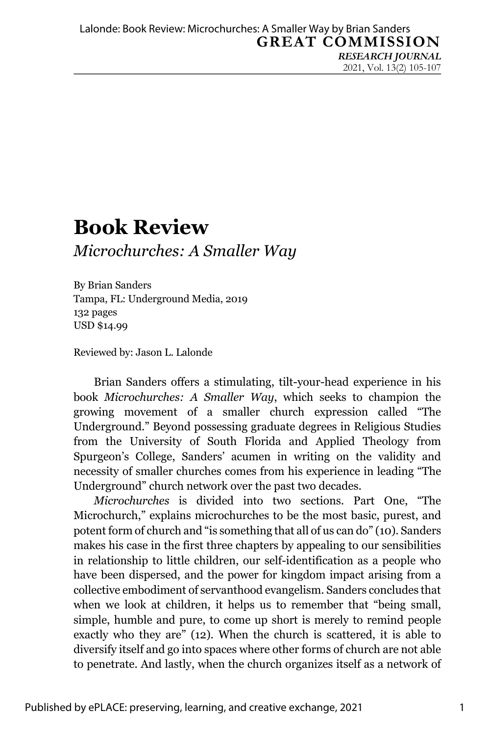2021, Vol. 13(2) 105-107

## **Book Review** *Microchurches: A Smaller Way*

By Brian Sanders Tampa, FL: Underground Media, 2019 132 pages USD \$14.99

Reviewed by: Jason L. Lalonde

Brian Sanders offers a stimulating, tilt-your-head experience in his book *Microchurches: A Smaller Way*, which seeks to champion the growing movement of a smaller church expression called "The Underground." Beyond possessing graduate degrees in Religious Studies from the University of South Florida and Applied Theology from Spurgeon's College, Sanders' acumen in writing on the validity and necessity of smaller churches comes from his experience in leading "The Underground" church network over the past two decades.

*Microchurches* is divided into two sections. Part One, "The Microchurch," explains microchurches to be the most basic, purest, and potent form of church and "is something that all of us can do" (10). Sanders makes his case in the first three chapters by appealing to our sensibilities in relationship to little children, our self-identification as a people who have been dispersed, and the power for kingdom impact arising from a collective embodiment of servanthood evangelism. Sanders concludes that when we look at children, it helps us to remember that "being small, simple, humble and pure, to come up short is merely to remind people exactly who they are" (12). When the church is scattered, it is able to diversify itself and go into spaces where other forms of church are not able to penetrate. And lastly, when the church organizes itself as a network of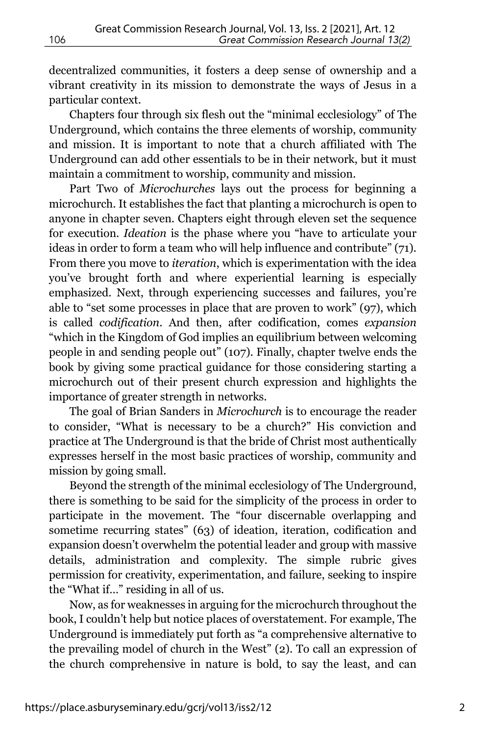decentralized communities, it fosters a deep sense of ownership and a vibrant creativity in its mission to demonstrate the ways of Jesus in a particular context.

Chapters four through six flesh out the "minimal ecclesiology" of The Underground, which contains the three elements of worship, community and mission. It is important to note that a church affiliated with The Underground can add other essentials to be in their network, but it must maintain a commitment to worship, community and mission.

Part Two of *Microchurches* lays out the process for beginning a microchurch. It establishes the fact that planting a microchurch is open to anyone in chapter seven. Chapters eight through eleven set the sequence for execution. *Ideation* is the phase where you "have to articulate your ideas in order to form a team who will help influence and contribute" (71). From there you move to *iteration*, which is experimentation with the idea you've brought forth and where experiential learning is especially emphasized. Next, through experiencing successes and failures, you're able to "set some processes in place that are proven to work" (97), which is called *codification*. And then, after codification, comes *expansion* "which in the Kingdom of God implies an equilibrium between welcoming people in and sending people out" (107). Finally, chapter twelve ends the book by giving some practical guidance for those considering starting a microchurch out of their present church expression and highlights the importance of greater strength in networks.

The goal of Brian Sanders in *Microchurch* is to encourage the reader to consider, "What is necessary to be a church?" His conviction and practice at The Underground is that the bride of Christ most authentically expresses herself in the most basic practices of worship, community and mission by going small.

Beyond the strength of the minimal ecclesiology of The Underground, there is something to be said for the simplicity of the process in order to participate in the movement. The "four discernable overlapping and sometime recurring states" (63) of ideation, iteration, codification and expansion doesn't overwhelm the potential leader and group with massive details, administration and complexity. The simple rubric gives permission for creativity, experimentation, and failure, seeking to inspire the "What if…" residing in all of us.

Now, as for weaknesses in arguing for the microchurch throughout the book, I couldn't help but notice places of overstatement. For example, The Underground is immediately put forth as "a comprehensive alternative to the prevailing model of church in the West" (2). To call an expression of the church comprehensive in nature is bold, to say the least, and can